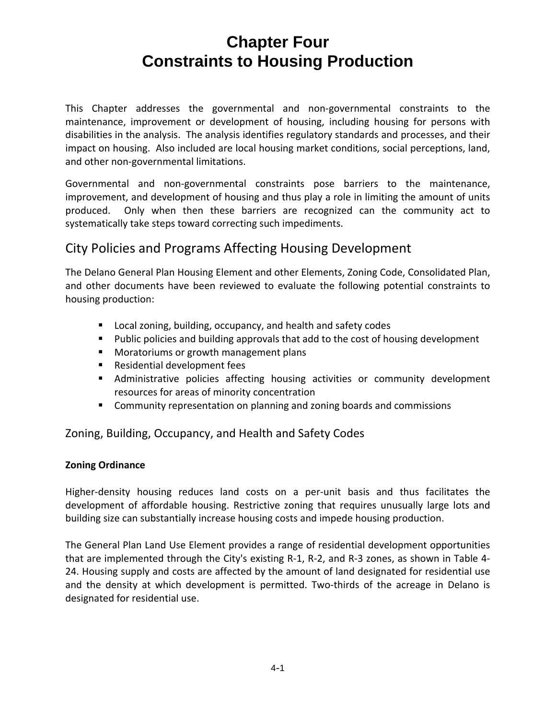This Chapter addresses the governmental and non‐governmental constraints to the maintenance, improvement or development of housing, including housing for persons with disabilities in the analysis. The analysis identifies regulatory standards and processes, and their impact on housing. Also included are local housing market conditions, social perceptions, land, and other non‐governmental limitations.

Governmental and non‐governmental constraints pose barriers to the maintenance, improvement, and development of housing and thus play a role in limiting the amount of units produced. Only when then these barriers are recognized can the community act to systematically take steps toward correcting such impediments.

### City Policies and Programs Affecting Housing Development

The Delano General Plan Housing Element and other Elements, Zoning Code, Consolidated Plan, and other documents have been reviewed to evaluate the following potential constraints to housing production:

- **Local zoning, building, occupancy, and health and safety codes**
- **Public policies and building approvals that add to the cost of housing development**
- **Moratoriums or growth management plans**
- **Residential development fees**
- Administrative policies affecting housing activities or community development resources for areas of minority concentration
- **Community representation on planning and zoning boards and commissions**

### Zoning, Building, Occupancy, and Health and Safety Codes

### **Zoning Ordinance**

Higher-density housing reduces land costs on a per-unit basis and thus facilitates the development of affordable housing. Restrictive zoning that requires unusually large lots and building size can substantially increase housing costs and impede housing production.

The General Plan Land Use Element provides a range of residential development opportunities that are implemented through the City's existing R‐1, R‐2, and R‐3 zones, as shown in Table 4‐ 24. Housing supply and costs are affected by the amount of land designated for residential use and the density at which development is permitted. Two-thirds of the acreage in Delano is designated for residential use.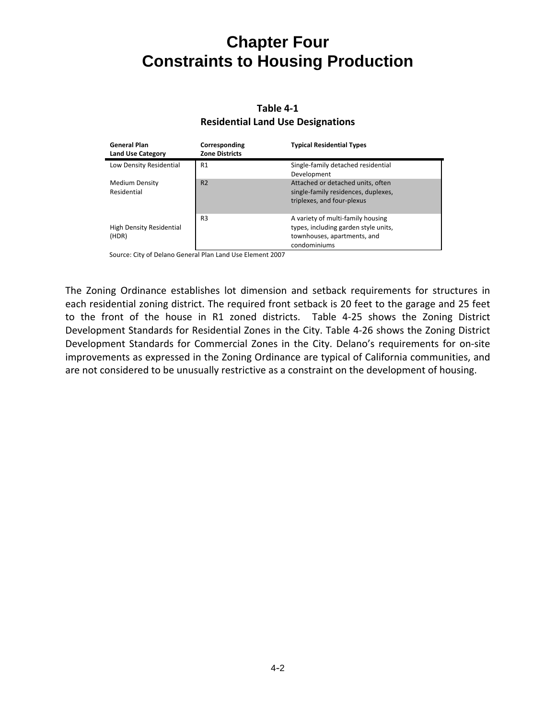#### **Table 4‐1 Residential Land Use Designations**

| <b>General Plan</b><br><b>Land Use Category</b> | Corresponding<br><b>Zone Districts</b> | <b>Typical Residential Types</b>                                                                                         |
|-------------------------------------------------|----------------------------------------|--------------------------------------------------------------------------------------------------------------------------|
| Low Density Residential                         | R1                                     | Single-family detached residential<br>Development                                                                        |
| Medium Density<br>Residential                   | R <sub>2</sub>                         | Attached or detached units, often<br>single-family residences, duplexes,<br>triplexes, and four-plexus                   |
| High Density Residential<br>(HDR)               | R <sub>3</sub>                         | A variety of multi-family housing<br>types, including garden style units,<br>townhouses, apartments, and<br>condominiums |

Source: City of Delano General Plan Land Use Element 2007

The Zoning Ordinance establishes lot dimension and setback requirements for structures in each residential zoning district. The required front setback is 20 feet to the garage and 25 feet to the front of the house in R1 zoned districts. Table 4-25 shows the Zoning District Development Standards for Residential Zones in the City. Table 4‐26 shows the Zoning District Development Standards for Commercial Zones in the City. Delano's requirements for on-site improvements as expressed in the Zoning Ordinance are typical of California communities, and are not considered to be unusually restrictive as a constraint on the development of housing.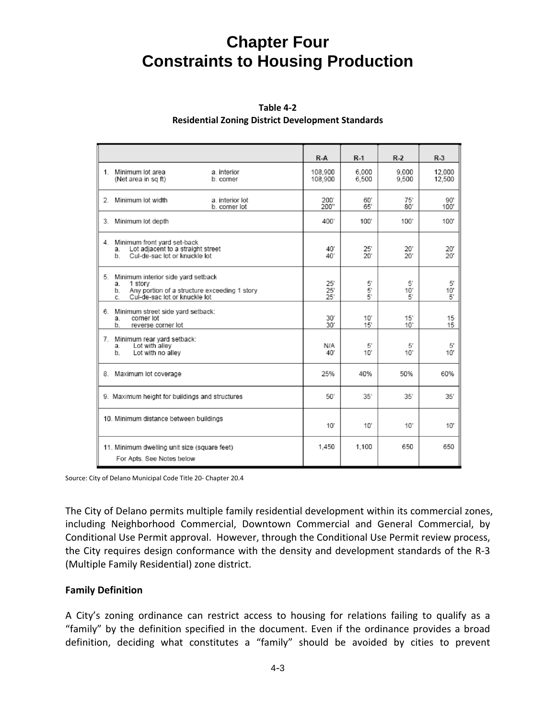| Table 4-2                                                |
|----------------------------------------------------------|
| <b>Residential Zoning District Development Standards</b> |

|                                                                                                                                                     | $R-A$                        | $R-1$                 | $R-2$           | $R-3$            |
|-----------------------------------------------------------------------------------------------------------------------------------------------------|------------------------------|-----------------------|-----------------|------------------|
| 1. Minimum lot area<br>a. interior<br>(Net area in sq ft)<br>b. corner                                                                              | 108.900<br>108,900           | 6.000<br>6,500        | 9.000<br>9,500  | 12.000<br>12,500 |
| Minimum lot width<br>a. interior lot<br>2.<br>b. corner lot                                                                                         | 200<br>200"                  | 60'<br>65'            | 75'<br>80'      | 90'<br>100'      |
| 3. Minimum lot depth                                                                                                                                | 400'                         | $100^{\circ}$         | 100"            | 100"             |
| Minimum front yard set-back<br>4.<br>Lot adjacent to a straight street<br>a.<br>Cul-de-sac lot or knuckle lot<br>b.                                 | 40<br>40'                    | 25"<br>20"            | 20"<br>20'      | 20'<br>20'       |
| 5. Minimum interior side yard setback<br>1 story<br>a.<br>Any portion of a structure exceeding 1 story<br>Cul-de-sac lot or knuckle lot<br>b.<br>C. | 25'<br>$25^{\circ}$<br>25'   | 5'<br>5'<br>5'        | 5'<br>10'<br>5' | 5'<br>10'<br>5'  |
| Minimum street side yard setback:<br>6.<br>corner lot<br>a.<br>b.<br>reverse corner lot                                                             | $30^{\circ}$<br>$30^{\circ}$ | $10^{\circ}$<br>15'   | 15'<br>10'      | 15<br>15         |
| 7.<br>Minimum rear yard setback:<br>Lot with alley<br>a.<br>Lot with no alley<br>$b$ .                                                              | N/A<br>40'                   | 5'<br>10 <sup>°</sup> | 5'<br>10'       | 5'<br>10'        |
| 8. Maximum lot coverage                                                                                                                             | 25%                          | 40%                   | 50%             | 60%              |
| 9. Maximum height for buildings and structures                                                                                                      | 50'                          | 35'                   | 35'             | 35'              |
| 10. Minimum distance between buildings                                                                                                              | 10"                          | 10"                   | 10'             | 10'              |
| 11. Minimum dwelling unit size (square feet)<br>For Apts. See Notes below                                                                           | 1.450                        | 1,100                 | 650             | 650              |

Source: City of Delano Municipal Code Title 20‐ Chapter 20.4

The City of Delano permits multiple family residential development within its commercial zones, including Neighborhood Commercial, Downtown Commercial and General Commercial, by Conditional Use Permit approval. However, through the Conditional Use Permit review process, the City requires design conformance with the density and development standards of the R‐3 (Multiple Family Residential) zone district.

#### **Family Definition**

A City's zoning ordinance can restrict access to housing for relations failing to qualify as a "family" by the definition specified in the document. Even if the ordinance provides a broad definition, deciding what constitutes a "family" should be avoided by cities to prevent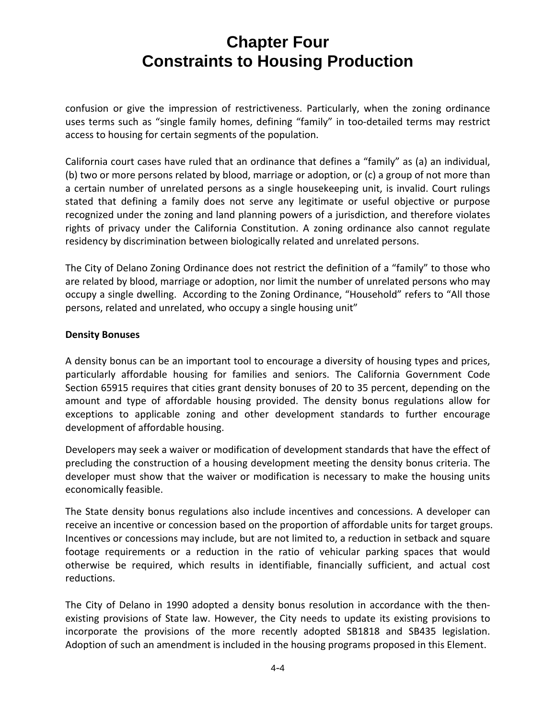confusion or give the impression of restrictiveness. Particularly, when the zoning ordinance uses terms such as "single family homes, defining "family" in too-detailed terms may restrict access to housing for certain segments of the population.

California court cases have ruled that an ordinance that defines a "family" as (a) an individual, (b) two or more persons related by blood, marriage or adoption, or (c) a group of not more than a certain number of unrelated persons as a single housekeeping unit, is invalid. Court rulings stated that defining a family does not serve any legitimate or useful objective or purpose recognized under the zoning and land planning powers of a jurisdiction, and therefore violates rights of privacy under the California Constitution. A zoning ordinance also cannot regulate residency by discrimination between biologically related and unrelated persons.

The City of Delano Zoning Ordinance does not restrict the definition of a "family" to those who are related by blood, marriage or adoption, nor limit the number of unrelated persons who may occupy a single dwelling. According to the Zoning Ordinance, "Household" refers to "All those persons, related and unrelated, who occupy a single housing unit"

#### **Density Bonuses**

A density bonus can be an important tool to encourage a diversity of housing types and prices, particularly affordable housing for families and seniors. The California Government Code Section 65915 requires that cities grant density bonuses of 20 to 35 percent, depending on the amount and type of affordable housing provided. The density bonus regulations allow for exceptions to applicable zoning and other development standards to further encourage development of affordable housing.

Developers may seek a waiver or modification of development standards that have the effect of precluding the construction of a housing development meeting the density bonus criteria. The developer must show that the waiver or modification is necessary to make the housing units economically feasible.

The State density bonus regulations also include incentives and concessions. A developer can receive an incentive or concession based on the proportion of affordable units for target groups. Incentives or concessions may include, but are not limited to, a reduction in setback and square footage requirements or a reduction in the ratio of vehicular parking spaces that would otherwise be required, which results in identifiable, financially sufficient, and actual cost reductions.

The City of Delano in 1990 adopted a density bonus resolution in accordance with the then‐ existing provisions of State law. However, the City needs to update its existing provisions to incorporate the provisions of the more recently adopted SB1818 and SB435 legislation. Adoption of such an amendment is included in the housing programs proposed in this Element.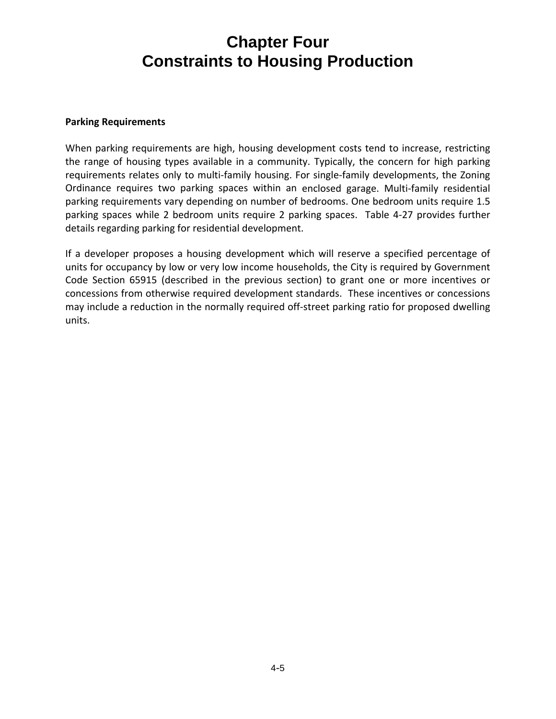#### **Parking Requirements**

When parking requirements are high, housing development costs tend to increase, restricting the range of housing types available in a community. Typically, the concern for high parking requirements relates only to multi-family housing. For single-family developments, the Zoning Ordinance requires two parking spaces within an enclosed garage. Multi‐family residential parking requirements vary depending on number of bedrooms. One bedroom units require 1.5 parking spaces while 2 bedroom units require 2 parking spaces. Table 4‐27 provides further details regarding parking for residential development.

If a developer proposes a housing development which will reserve a specified percentage of units for occupancy by low or very low income households, the City is required by Government Code Section 65915 (described in the previous section) to grant one or more incentives or concessions from otherwise required development standards. These incentives or concessions may include a reduction in the normally required off‐street parking ratio for proposed dwelling units.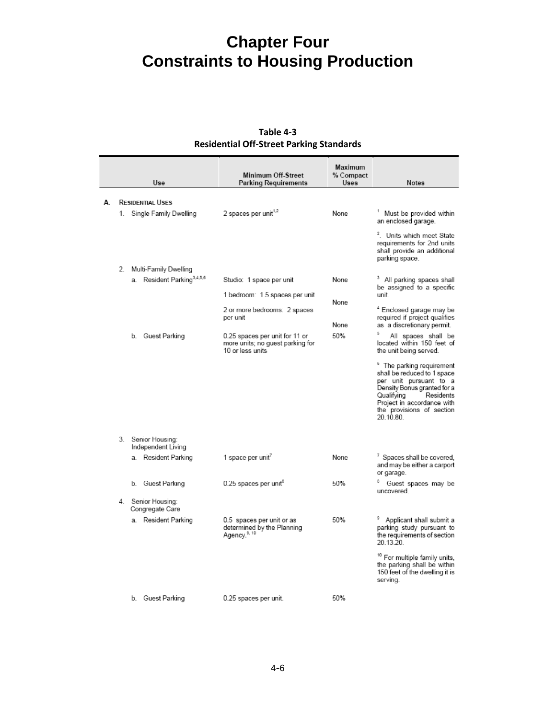|    | Use                                      | <b>Minimum Off-Street</b><br><b>Parking Requirements</b>                               | <b>Maximum</b><br>% Compact<br>Uses | <b>Notes</b>                                                                                                                                                                                                                    |
|----|------------------------------------------|----------------------------------------------------------------------------------------|-------------------------------------|---------------------------------------------------------------------------------------------------------------------------------------------------------------------------------------------------------------------------------|
|    |                                          |                                                                                        |                                     |                                                                                                                                                                                                                                 |
| А. | <b>RESIDENTIAL USES</b>                  |                                                                                        |                                     |                                                                                                                                                                                                                                 |
|    | 1. Single Family Dwelling                | 2 spaces per unit <sup>1,2</sup>                                                       | None                                | Must be provided within<br>an enclosed garage.                                                                                                                                                                                  |
|    |                                          |                                                                                        |                                     | <sup>2</sup> . Units which meet State<br>requirements for 2nd units<br>shall provide an additional<br>parking space.                                                                                                            |
|    | 2. Multi-Family Dwelling                 |                                                                                        |                                     |                                                                                                                                                                                                                                 |
|    | a. Resident Parking <sup>3,4,5,6</sup>   | Studio: 1 space per unit                                                               | None                                | <sup>3</sup> All parking spaces shall<br>be assigned to a specific                                                                                                                                                              |
|    |                                          | 1 bedroom: 1.5 spaces per unit                                                         | None                                | unit                                                                                                                                                                                                                            |
|    |                                          | 2 or more bedrooms: 2 spaces<br>per unit                                               |                                     | <sup>4</sup> Enclosed garage may be<br>required if project qualifies                                                                                                                                                            |
|    |                                          |                                                                                        | None                                | as a discretionary permit.                                                                                                                                                                                                      |
|    | b. Guest Parking                         | 0.25 spaces per unit for 11 or<br>more units; no guest parking for<br>10 or less units | 50%                                 | All spaces shall be<br>located within 150 feet of<br>the unit being served.                                                                                                                                                     |
|    |                                          |                                                                                        |                                     | <sup>6</sup> The parking requirement<br>shall be reduced to 1 space<br>per unit pursuant to a<br>Density Bonus granted for a<br>Qualifying<br>Residents<br>Project in accordance with<br>the provisions of section<br>20.10.80. |
|    | 3. Senior Housing:<br>Independent Living |                                                                                        |                                     |                                                                                                                                                                                                                                 |
|    | a. Resident Parking                      | 1 space per unit <sup>7</sup>                                                          | None                                | <sup>7</sup> Spaces shall be covered,<br>and may be either a carport<br>or garage.                                                                                                                                              |
|    | b. Guest Parking                         | $0.25$ spaces per unit <sup>8</sup>                                                    | 50%                                 | Guest spaces may be<br>uncovered.                                                                                                                                                                                               |
|    | 4. Senior Housing:<br>Congregate Care    |                                                                                        |                                     |                                                                                                                                                                                                                                 |
|    | a. Resident Parking                      | 0.5 spaces per unit or as<br>determined by the Planning<br>Agency. <sup>9, 10</sup>    | 50%                                 | <sup>9</sup> Applicant shall submit a<br>parking study pursuant to<br>the requirements of section<br>20.13.20                                                                                                                   |
|    |                                          |                                                                                        |                                     | <sup>10</sup> For multiple family units,<br>the parking shall be within<br>150 feet of the dwelling it is<br>serving.                                                                                                           |
|    | b. Guest Parking                         | 0.25 spaces per unit.                                                                  | 50%                                 |                                                                                                                                                                                                                                 |

#### **Table 4‐3 Residential Off‐Street Parking Standards**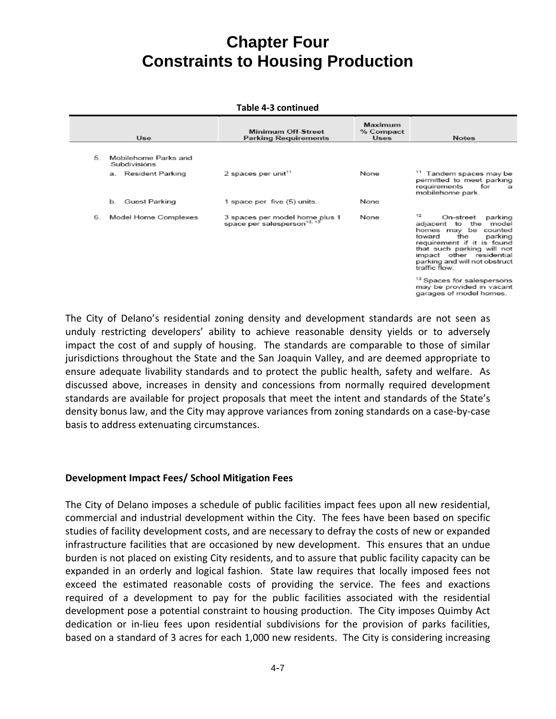#### **Table 4‐3 continued**

|    | Use                                  | Minimum Off-Street<br><b>Parking Requirements</b>                         | Maximum<br>% Compact<br><b>Uses</b> | <b>Notes</b>                                                                                                                                                                                                                                            |
|----|--------------------------------------|---------------------------------------------------------------------------|-------------------------------------|---------------------------------------------------------------------------------------------------------------------------------------------------------------------------------------------------------------------------------------------------------|
| 5. | Mobilehome Parks and<br>Subdivisions |                                                                           |                                     |                                                                                                                                                                                                                                                         |
| а. | Resident Parking                     | 2 spaces per unit $11$                                                    | None                                | <sup>11</sup> Tandem spaces may be<br>permitted to meet parking<br>requirements<br>for<br>$\mathbf{a}$<br>mobilehome park.                                                                                                                              |
| b. | Guest Parking                        | 1 space per five (5) units.                                               | None                                |                                                                                                                                                                                                                                                         |
| 6. | Model Home Complexes                 | 3 spaces per model home plus 1<br>space per salesperson <sup>12, 13</sup> | None                                | 12<br>On-street<br>parking<br>adjacent to the<br>model<br>homes may be<br>counted<br>the<br>parking<br>toward<br>requirement if it is found<br>that such parking will not<br>impact other residential<br>parking and will not obstruct<br>traffic flow. |
|    |                                      |                                                                           |                                     | <sup>13</sup> Spaces for salespersons<br>may be provided in vacant<br>garages of model homes.                                                                                                                                                           |

The City of Delano's residential zoning density and development standards are not seen as unduly restricting developers' ability to achieve reasonable density yields or to adversely impact the cost of and supply of housing. The standards are comparable to those of similar jurisdictions throughout the State and the San Joaquin Valley, and are deemed appropriate to ensure adequate livability standards and to protect the public health, safety and welfare. As discussed above, increases in density and concessions from normally required development standards are available for project proposals that meet the intent and standards of the State's density bonus law, and the City may approve variances from zoning standards on a case‐by‐case basis to address extenuating circumstances.

#### **Development Impact Fees/ School Mitigation Fees**

The City of Delano imposes a schedule of public facilities impact fees upon all new residential, commercial and industrial development within the City. The fees have been based on specific studies of facility development costs, and are necessary to defray the costs of new or expanded infrastructure facilities that are occasioned by new development. This ensures that an undue burden is not placed on existing City residents, and to assure that public facility capacity can be expanded in an orderly and logical fashion. State law requires that locally imposed fees not exceed the estimated reasonable costs of providing the service. The fees and exactions required of a development to pay for the public facilities associated with the residential development pose a potential constraint to housing production. The City imposes Quimby Act dedication or in-lieu fees upon residential subdivisions for the provision of parks facilities, based on a standard of 3 acres for each 1,000 new residents. The City is considering increasing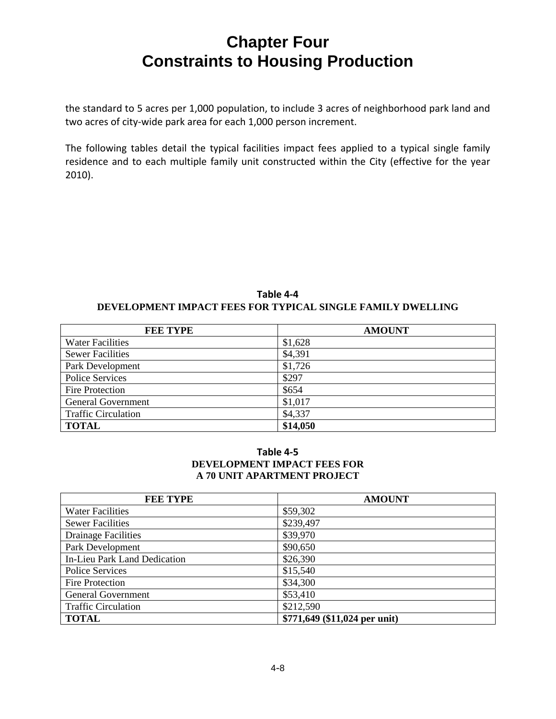the standard to 5 acres per 1,000 population, to include 3 acres of neighborhood park land and two acres of city-wide park area for each 1,000 person increment.

The following tables detail the typical facilities impact fees applied to a typical single family residence and to each multiple family unit constructed within the City (effective for the year 2010).

#### **Table 4‐4 DEVELOPMENT IMPACT FEES FOR TYPICAL SINGLE FAMILY DWELLING**

| <b>FEE TYPE</b>            | <b>AMOUNT</b> |
|----------------------------|---------------|
| <b>Water Facilities</b>    | \$1,628       |
| <b>Sewer Facilities</b>    | \$4,391       |
| Park Development           | \$1,726       |
| <b>Police Services</b>     | \$297         |
| <b>Fire Protection</b>     | \$654         |
| <b>General Government</b>  | \$1,017       |
| <b>Traffic Circulation</b> | \$4,337       |
| <b>TOTAL</b>               | \$14,050      |

#### **Table 4‐5 DEVELOPMENT IMPACT FEES FOR A 70 UNIT APARTMENT PROJECT**

| <b>FEE TYPE</b>                     | <b>AMOUNT</b>                 |
|-------------------------------------|-------------------------------|
| <b>Water Facilities</b>             | \$59,302                      |
| <b>Sewer Facilities</b>             | \$239,497                     |
| <b>Drainage Facilities</b>          | \$39,970                      |
| Park Development                    | \$90,650                      |
| <b>In-Lieu Park Land Dedication</b> | \$26,390                      |
| Police Services                     | \$15,540                      |
| Fire Protection                     | \$34,300                      |
| <b>General Government</b>           | \$53,410                      |
| <b>Traffic Circulation</b>          | \$212,590                     |
| <b>TOTAL</b>                        | \$771,649 (\$11,024 per unit) |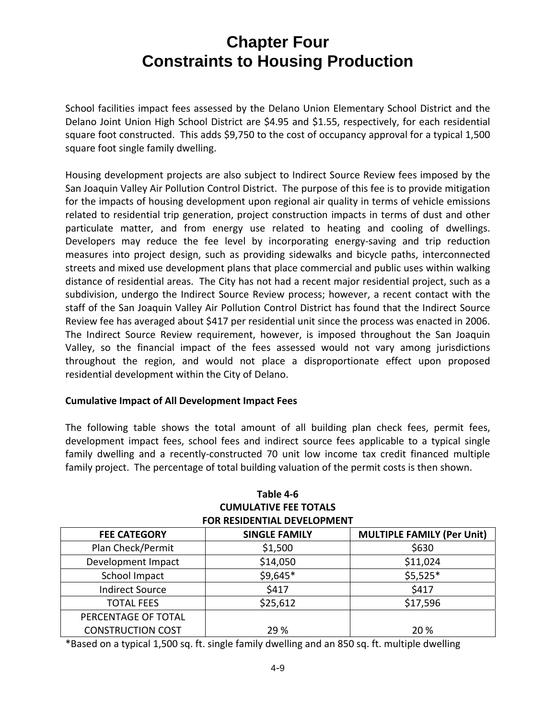School facilities impact fees assessed by the Delano Union Elementary School District and the Delano Joint Union High School District are \$4.95 and \$1.55, respectively, for each residential square foot constructed. This adds \$9,750 to the cost of occupancy approval for a typical 1,500 square foot single family dwelling.

Housing development projects are also subject to Indirect Source Review fees imposed by the San Joaquin Valley Air Pollution Control District. The purpose of this fee is to provide mitigation for the impacts of housing development upon regional air quality in terms of vehicle emissions related to residential trip generation, project construction impacts in terms of dust and other particulate matter, and from energy use related to heating and cooling of dwellings. Developers may reduce the fee level by incorporating energy-saving and trip reduction measures into project design, such as providing sidewalks and bicycle paths, interconnected streets and mixed use development plans that place commercial and public uses within walking distance of residential areas. The City has not had a recent major residential project, such as a subdivision, undergo the Indirect Source Review process; however, a recent contact with the staff of the San Joaquin Valley Air Pollution Control District has found that the Indirect Source Review fee has averaged about \$417 per residential unit since the process was enacted in 2006. The Indirect Source Review requirement, however, is imposed throughout the San Joaquin Valley, so the financial impact of the fees assessed would not vary among jurisdictions throughout the region, and would not place a disproportionate effect upon proposed residential development within the City of Delano.

#### **Cumulative Impact of All Development Impact Fees**

The following table shows the total amount of all building plan check fees, permit fees, development impact fees, school fees and indirect source fees applicable to a typical single family dwelling and a recently-constructed 70 unit low income tax credit financed multiple family project. The percentage of total building valuation of the permit costs is then shown.

| ו טוז וזכאו וכב טבע האוויראי ונ |                      |                                   |  |
|---------------------------------|----------------------|-----------------------------------|--|
| <b>FEE CATEGORY</b>             | <b>SINGLE FAMILY</b> | <b>MULTIPLE FAMILY (Per Unit)</b> |  |
| Plan Check/Permit               | \$1,500              | \$630                             |  |
| Development Impact              | \$14,050             | \$11,024                          |  |
| School Impact                   | \$9,645*             | $$5,525*$                         |  |
| <b>Indirect Source</b>          | \$417                | \$417                             |  |
| <b>TOTAL FEES</b>               | \$25,612             | \$17,596                          |  |
| PERCENTAGE OF TOTAL             |                      |                                   |  |
| <b>CONSTRUCTION COST</b>        | 29 %                 | 20 %                              |  |

#### **Table 4‐6 CUMULATIVE FEE TOTALS FOR RESIDENTIAL DEVELOPMENT**

\*Based on a typical 1,500 sq. ft. single family dwelling and an 850 sq. ft. multiple dwelling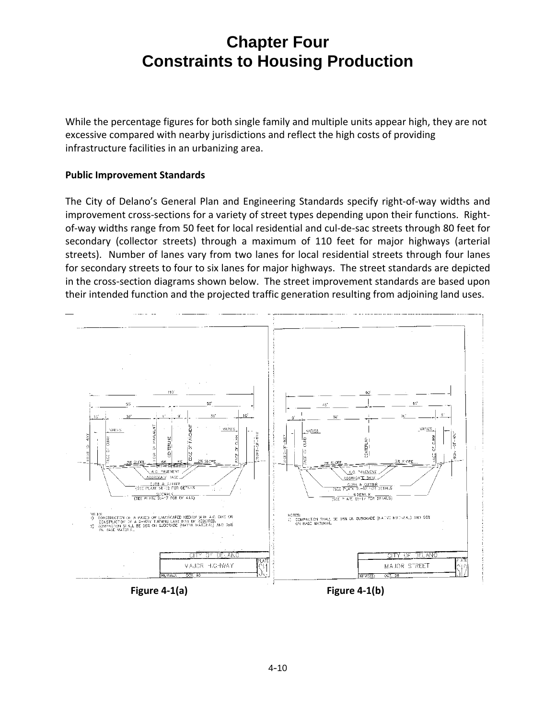While the percentage figures for both single family and multiple units appear high, they are not excessive compared with nearby jurisdictions and reflect the high costs of providing infrastructure facilities in an urbanizing area.

#### **Public Improvement Standards**

The City of Delano's General Plan and Engineering Standards specify right‐of‐way widths and improvement cross-sections for a variety of street types depending upon their functions. Rightof‐way widths range from 50 feet for local residential and cul‐de‐sac streets through 80 feet for secondary (collector streets) through a maximum of 110 feet for major highways (arterial streets). Number of lanes vary from two lanes for local residential streets through four lanes for secondary streets to four to six lanes for major highways. The street standards are depicted in the cross‐section diagrams shown below. The street improvement standards are based upon their intended function and the projected traffic generation resulting from adjoining land uses.



**Figure 4‐1(a) Figure 4‐1(b)**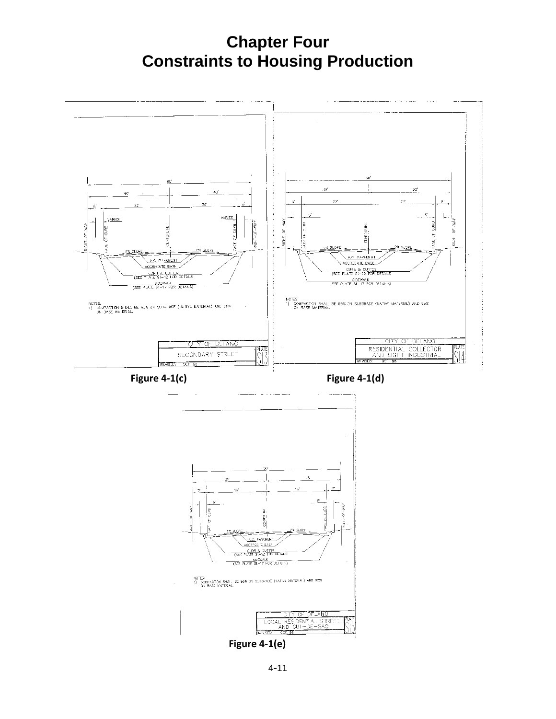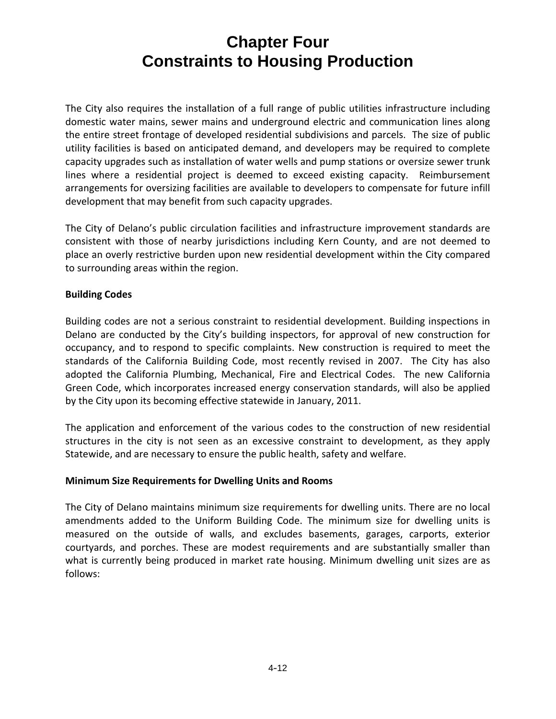The City also requires the installation of a full range of public utilities infrastructure including domestic water mains, sewer mains and underground electric and communication lines along the entire street frontage of developed residential subdivisions and parcels. The size of public utility facilities is based on anticipated demand, and developers may be required to complete capacity upgrades such as installation of water wells and pump stations or oversize sewer trunk lines where a residential project is deemed to exceed existing capacity. Reimbursement arrangements for oversizing facilities are available to developers to compensate for future infill development that may benefit from such capacity upgrades.

The City of Delano's public circulation facilities and infrastructure improvement standards are consistent with those of nearby jurisdictions including Kern County, and are not deemed to place an overly restrictive burden upon new residential development within the City compared to surrounding areas within the region.

### **Building Codes**

Building codes are not a serious constraint to residential development. Building inspections in Delano are conducted by the City's building inspectors, for approval of new construction for occupancy, and to respond to specific complaints. New construction is required to meet the standards of the California Building Code, most recently revised in 2007. The City has also adopted the California Plumbing, Mechanical, Fire and Electrical Codes. The new California Green Code, which incorporates increased energy conservation standards, will also be applied by the City upon its becoming effective statewide in January, 2011.

The application and enforcement of the various codes to the construction of new residential structures in the city is not seen as an excessive constraint to development, as they apply Statewide, and are necessary to ensure the public health, safety and welfare.

#### **Minimum Size Requirements for Dwelling Units and Rooms**

The City of Delano maintains minimum size requirements for dwelling units. There are no local amendments added to the Uniform Building Code. The minimum size for dwelling units is measured on the outside of walls, and excludes basements, garages, carports, exterior courtyards, and porches. These are modest requirements and are substantially smaller than what is currently being produced in market rate housing. Minimum dwelling unit sizes are as follows: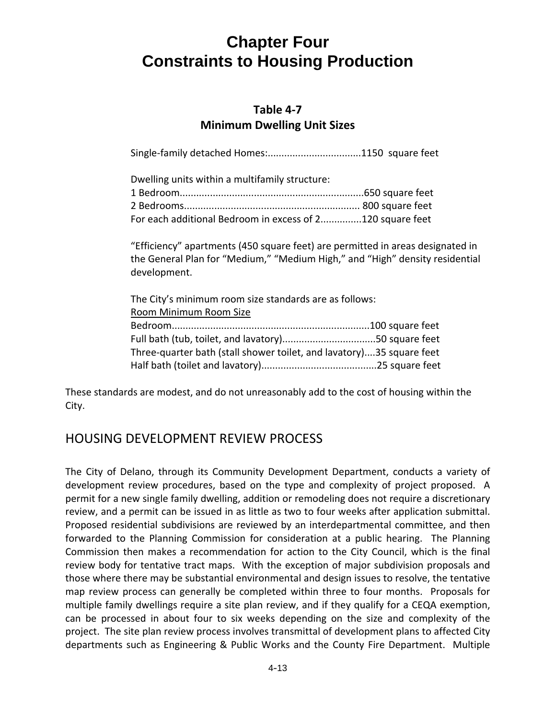### **Table 4‐7 Minimum Dwelling Unit Sizes**

Single-family detached Homes:..................................1150 square feet

| Dwelling units within a multifamily structure:            |  |
|-----------------------------------------------------------|--|
|                                                           |  |
|                                                           |  |
| For each additional Bedroom in excess of 2120 square feet |  |

"Efficiency" apartments (450 square feet) are permitted in areas designated in the General Plan for "Medium," "Medium High," and "High" density residential development.

The City's minimum room size standards are as follows: Room Minimum Room Size Bedroom........................................................................100 square feet Full bath (tub, toilet, and lavatory)..................................50 square feet Three‐quarter bath (stall shower toilet, and lavatory)....35 square feet Half bath (toilet and lavatory)..........................................25 square feet

These standards are modest, and do not unreasonably add to the cost of housing within the City.

### HOUSING DEVELOPMENT REVIEW PROCESS

The City of Delano, through its Community Development Department, conducts a variety of development review procedures, based on the type and complexity of project proposed. A permit for a new single family dwelling, addition or remodeling does not require a discretionary review, and a permit can be issued in as little as two to four weeks after application submittal. Proposed residential subdivisions are reviewed by an interdepartmental committee, and then forwarded to the Planning Commission for consideration at a public hearing. The Planning Commission then makes a recommendation for action to the City Council, which is the final review body for tentative tract maps. With the exception of major subdivision proposals and those where there may be substantial environmental and design issues to resolve, the tentative map review process can generally be completed within three to four months. Proposals for multiple family dwellings require a site plan review, and if they qualify for a CEQA exemption, can be processed in about four to six weeks depending on the size and complexity of the project. The site plan review process involves transmittal of development plans to affected City departments such as Engineering & Public Works and the County Fire Department. Multiple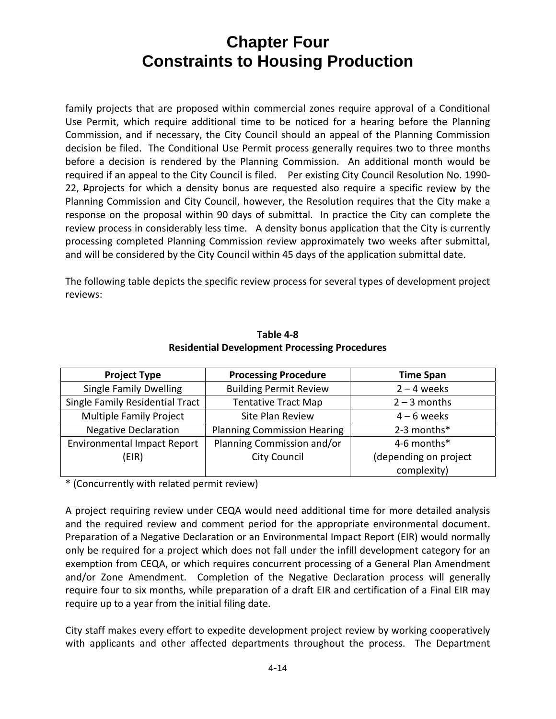family projects that are proposed within commercial zones require approval of a Conditional Use Permit, which require additional time to be noticed for a hearing before the Planning Commission, and if necessary, the City Council should an appeal of the Planning Commission decision be filed. The Conditional Use Permit process generally requires two to three months before a decision is rendered by the Planning Commission. An additional month would be required if an appeal to the City Council is filed. Per existing City Council Resolution No. 1990-22, Pprojects for which a density bonus are requested also require a specific review by the Planning Commission and City Council, however, the Resolution requires that the City make a response on the proposal within 90 days of submittal. In practice the City can complete the review process in considerably less time. A density bonus application that the City is currently processing completed Planning Commission review approximately two weeks after submittal, and will be considered by the City Council within 45 days of the application submittal date.

The following table depicts the specific review process for several types of development project reviews:

| <b>Project Type</b>                | <b>Processing Procedure</b>        | <b>Time Span</b>      |
|------------------------------------|------------------------------------|-----------------------|
| <b>Single Family Dwelling</b>      | <b>Building Permit Review</b>      | $2 - 4$ weeks         |
| Single Family Residential Tract    | <b>Tentative Tract Map</b>         | $2 - 3$ months        |
| Multiple Family Project            | Site Plan Review<br>$4 - 6$ weeks  |                       |
| <b>Negative Declaration</b>        | <b>Planning Commission Hearing</b> | 2-3 months*           |
| <b>Environmental Impact Report</b> | Planning Commission and/or         | 4-6 months*           |
| (EIR)                              | <b>City Council</b>                | (depending on project |
|                                    |                                    | complexity)           |

#### **Table 4‐8 Residential Development Processing Procedures**

\* (Concurrently with related permit review)

A project requiring review under CEQA would need additional time for more detailed analysis and the required review and comment period for the appropriate environmental document. Preparation of a Negative Declaration or an Environmental Impact Report (EIR) would normally only be required for a project which does not fall under the infill development category for an exemption from CEQA, or which requires concurrent processing of a General Plan Amendment and/or Zone Amendment. Completion of the Negative Declaration process will generally require four to six months, while preparation of a draft EIR and certification of a Final EIR may require up to a year from the initial filing date.

City staff makes every effort to expedite development project review by working cooperatively with applicants and other affected departments throughout the process. The Department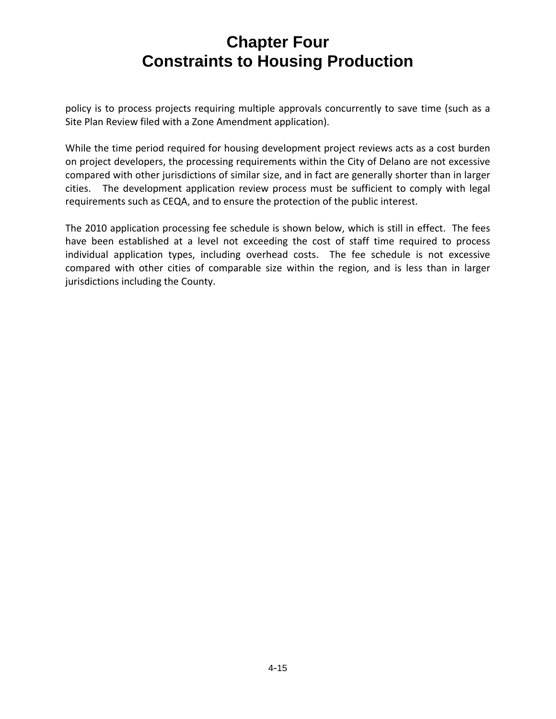policy is to process projects requiring multiple approvals concurrently to save time (such as a Site Plan Review filed with a Zone Amendment application).

While the time period required for housing development project reviews acts as a cost burden on project developers, the processing requirements within the City of Delano are not excessive compared with other jurisdictions of similar size, and in fact are generally shorter than in larger cities. The development application review process must be sufficient to comply with legal requirements such as CEQA, and to ensure the protection of the public interest.

The 2010 application processing fee schedule is shown below, which is still in effect. The fees have been established at a level not exceeding the cost of staff time required to process individual application types, including overhead costs. The fee schedule is not excessive compared with other cities of comparable size within the region, and is less than in larger jurisdictions including the County.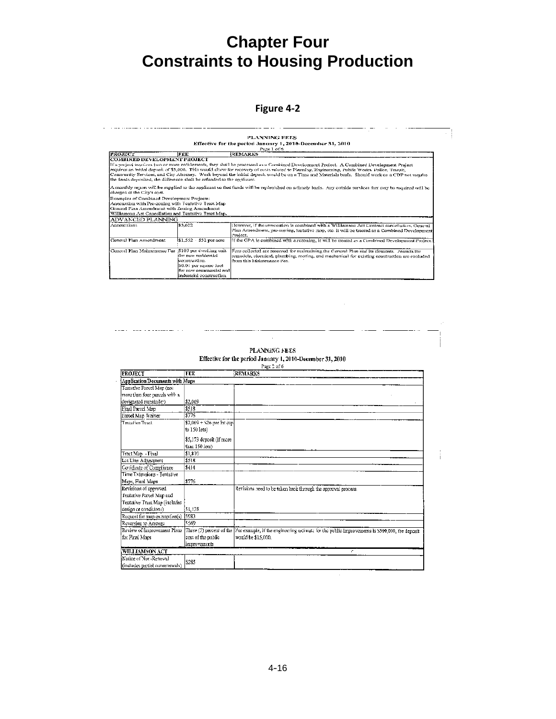#### **Figure 4‐2**

**PLANNING FEES** Effective for the period January 1, 2010-December 31, 2010 Page 1 of 6 REMARKS **FROJECT** FEE FROMECT<br>
TATEM DEVELOPMENT PROJECT<br>
TATEM INTO DEVELOPMENT PROJECT<br>
TATEM INTO DEVELOPMENT PROJECT<br>
TATEM INTO DEVELOPMENT PROJECT<br>
TATEM INTO A COMMUNICATION OF THE SUBSEX CONSTRUCT PROPERT PROJECT A COMMUNICATION PROJECT .<br>A monthly report will be supplied to the applicant so that funds will be repletished on a timoly basis. Any outside services that may be required will be<br>sharged at the City's cost. contrage ut the Chys abst.<br>Examples of Combined Development Projects:<br>Annoxation with Pre-zoning with Fonteixs Trast Map<br>General Pian Amendments with Zoning Amendment<br>Williamson Act Causellation and Tentative Trast Map.<br>AD 116 wever, if the annexation is combined with a Williamson Act Contract cancellation, General Plan Amendment, pro-zoning, teatrative map, etc. it will be treated as a Combined Developme 33,622 nnexations m, Clencral Project.<br>Il the GPA is combined with a rezoning, it will be treated as a Combined Development Project leneral Plan Amendment  $\frac{1}{151,552 + $52 \text{ per acre}}$ For scollected are reserved tor maintaining the General Plan and its clements. Permits for remodels, electrical, plumbing, roofing, and mechanical for existing construction are excluded from this Maintenance Fee. General Plan Maintenance Fee : \$103 per dwelling unit  $$103$  per dwelling unit<br>for new residential<br>construction.<br> $$50.04$  per square foot<br>for new commercial and<br>industrial construction

#### PLANNING FEES Effective for the period January 1, 2010-December 31, 2010 Page 2 of 6

والمستحصص والمساوية

 $\bar{z}$ 

 $\frac{1}{1}$ 

| <b>PROJECT</b>                  | FEE                         | <b>REMARKS</b>                                                                                 |
|---------------------------------|-----------------------------|------------------------------------------------------------------------------------------------|
| Application/Documents with Maps |                             |                                                                                                |
| Tentative Pareel Map (not       |                             |                                                                                                |
| more than four pareels with a   |                             |                                                                                                |
| designated rearninder)          | \$2.069                     |                                                                                                |
| Final Parcel Map                | \$518                       |                                                                                                |
| Parcel Map Waiver               | \$776                       |                                                                                                |
| Tentative Tract.                | $$2,069 + $26$ per lot (up) |                                                                                                |
|                                 | to 150 lots)                |                                                                                                |
|                                 | \$5,173 deposit (if more    |                                                                                                |
|                                 | than 150 lots)              |                                                                                                |
| Tract Map - Final               | \$1,810                     |                                                                                                |
| Lat Line Adjustment             | \$518                       |                                                                                                |
| Certificate of Compliance       | \$414                       |                                                                                                |
| Time Extensions - Tentative     |                             |                                                                                                |
| Maps, Final Maps                | \$776                       |                                                                                                |
| Revisions of approved           |                             | Revisions need to be taken back through the approval process.                                  |
| Tentative Parcel Map and        |                             |                                                                                                |
| Tentative Traut Map (includes   |                             |                                                                                                |
| design or conditions)           | ISL 138                     |                                                                                                |
| Request for map exemption(s)    | 15983                       |                                                                                                |
| Reversion to Acreage            | 5569                        |                                                                                                |
| Review of Improvement Plans     | Three (3) percent of the    | Por example, if the engineering calimate for the public improvements is \$500,000, the deposit |
| for Final Maps                  | cost of the public          | would be \$15,000.                                                                             |
|                                 | improvoments                |                                                                                                |
| <b>WILLIAMSON ACT</b>           |                             | r.                                                                                             |
| Notice of Nort-Renewal          |                             |                                                                                                |
| (includes partial nonrenewals)  | \$285                       |                                                                                                |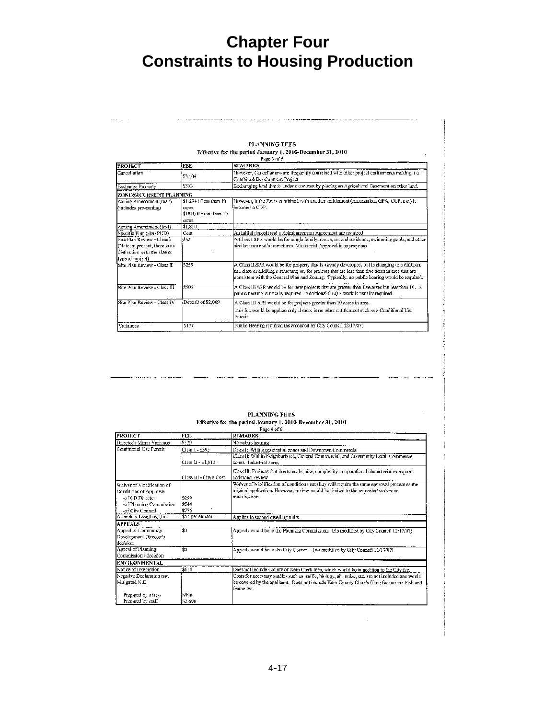#### PLANNING FEES Effective for the period January 1, 2010-December 31, 2010

. . . . . . . . . . . . . .

| <b>PROJECT</b>                 | <b>FEE</b>                                 | <b>REMARKS</b>                                                                                                                                                                                                                                                                                      |
|--------------------------------|--------------------------------------------|-----------------------------------------------------------------------------------------------------------------------------------------------------------------------------------------------------------------------------------------------------------------------------------------------------|
| Cancellation                   | :53.104                                    | However, Cancellations are frequently combined with other project enritiements making it a<br>Combined Development Project                                                                                                                                                                          |
| Exchange Property              | \$362                                      | Exchanging land that is under a contract by piacing an Agricultural Easement on other land,                                                                                                                                                                                                         |
| ZON ING/CURRENT PLANNING       |                                            |                                                                                                                                                                                                                                                                                                     |
| Zaning Amendment (map)         | \$1,294 if less than 10                    | However, it the ZA is combined with another antitlement (Annexation, GPA, CUP, etc.) it<br>lbecomes a CDP.                                                                                                                                                                                          |
| (includes pre-zoning)          | HOTOS.<br>\$1810 If more than 10<br>acres. |                                                                                                                                                                                                                                                                                                     |
| Zoning Amendment (text)        | \$1,810                                    |                                                                                                                                                                                                                                                                                                     |
| Specific Plan (also PUD)       | Cost                                       | An initial deposit and a Reimbursement Agreement are required                                                                                                                                                                                                                                       |
| Site Plan Review - Class L     | \$52                                       | A Class I SPR would be for single family homes, second residence, swimming pools, and other                                                                                                                                                                                                         |
| (Note; at present, there is no |                                            | similar uses and/or structures. Ministerial Approval is appropriate                                                                                                                                                                                                                                 |
| distinction as to the size or  |                                            |                                                                                                                                                                                                                                                                                                     |
| type of project).              |                                            |                                                                                                                                                                                                                                                                                                     |
| Site Plan Review - Class II    | 5259                                       | A Class II SPR would be for property that is already developed, but is changing to a different<br>use class or addi8ng a structure; or, for projects that are loss than five acres in area that are<br>consistent with the General Plan and Zoning. Typically, no public hearing would be required. |
| Site Plan Review - Class III   | \$595                                      | A Class III SPR would be for new projects that are greater than five acres but less than 10. $\Lambda$<br>public hearing is usually required. Additional CEQA work is usually required.                                                                                                             |
| Site Plan Review - Class IV    | Deposit of \$2,069                         | A Class III SPR would be for projects greater than 10 acres in area.                                                                                                                                                                                                                                |
|                                |                                            | This fee would be applied only if there is no other cutitlement such as a Conditional Use<br>Permit                                                                                                                                                                                                 |
| Variances                      | 5177                                       | Public Hearing required (as amonded by City Council 12/17/07).                                                                                                                                                                                                                                      |

#### PLANNING FEES **Effective for the period January 1, 2010-December 31, 2010**<br>Page 4 of 6

لان مدينهم

 $\sim$  100  $\sim$  100  $\sim$ 

| <b>PROJECT</b>            | <b>FEE</b>              | <b>REMARKS</b>                                                                                    |
|---------------------------|-------------------------|---------------------------------------------------------------------------------------------------|
| Director's Minor Variance | 5:29                    | No public hearing                                                                                 |
| Conditional Use Permit    | Class I - \$595         | Class I: Within residential zones and Downtown Commercial                                         |
|                           |                         | Class II: Within Neighborhood, General Commercial, and Community Rotail Commercial                |
|                           | (Class 11 - S1.810)     | zones. Incustrial zone.                                                                           |
|                           |                         | Class III: Projects that due to scale, size, complexity or operational characteristics require    |
|                           | Class III - City's Cost | additional review                                                                                 |
| Waiver of Modification of |                         | Waivet of Medification of conditions usualluy will require the same approval process as the       |
| Conditions of Approval    |                         | original application. However, review would be limited to the requested waiver or                 |
| -of CD Director           | 5259                    | modification.                                                                                     |
| -of Planning Commission   | \$544                   |                                                                                                   |
| -of City Council          | \$776                   |                                                                                                   |
| Accessory Dwelling Unit   | \$57 per annum          | Applies to second dwelling units.                                                                 |
| <b>APPEALS</b>            |                         |                                                                                                   |
| Appeal of Community       | \$0                     | Argeals would be to the Planning Commission. (As modified by City Council 12/17/07).              |
| Development Director's    |                         |                                                                                                   |
| docision                  |                         |                                                                                                   |
| Appeal of Planning        | \$0                     | Appeals would be to the City Council. (As modified by City Council 12/17/07)                      |
| Commission's docision     |                         |                                                                                                   |
| <b>ENVIRONMENTAL</b>      |                         |                                                                                                   |
| Notice of Exemption       | 5114                    | Does not include County of Kern Clerk Jees, which would be in addition to the City fee.           |
| Negative Declaration and  |                         | Costs for necessary studies such as traffic, biology, giv, noise, etc. are not included and would |
| Mitigated N.D.            |                         | be covered by the applicant. Does not include Kern County Clock's filing foe nor the Fish and     |
|                           |                         | Game fee.                                                                                         |
| Prepared by others.       | 5906                    |                                                                                                   |
| Prepared by staff         | 52,690                  |                                                                                                   |

÷,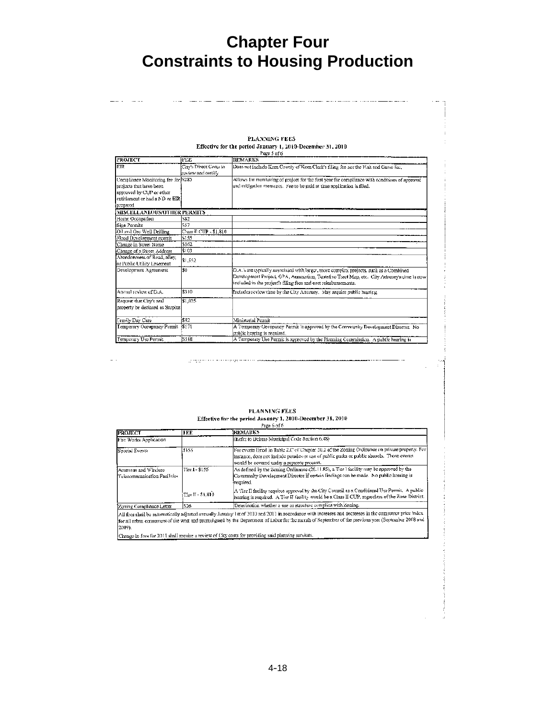#### PLANNING FEES Effective for the period January 1, 2010-December 31, 2010

| <b>PROJECT</b>                     | <b>INDE</b>                                  | <b>REMARKS</b>                                                                                                                                                                                                                                          |
|------------------------------------|----------------------------------------------|---------------------------------------------------------------------------------------------------------------------------------------------------------------------------------------------------------------------------------------------------------|
| <b>FIR</b>                         | City's Direct Costa to<br>review and certify | Does not include Kern County of Kern Clerk's filing fee nor the Fish and Game lee,                                                                                                                                                                      |
| Compliance Monitoring fee for 5285 |                                              | Allows for monitoring of project for the first year for compliance with conditions of approval                                                                                                                                                          |
| projects that have been            |                                              | and mitigation measures. Fee to be paid at time application is filed.                                                                                                                                                                                   |
| approved by CUP or other           |                                              |                                                                                                                                                                                                                                                         |
| entitlement or had a ND or EIR:    |                                              |                                                                                                                                                                                                                                                         |
| propared                           |                                              |                                                                                                                                                                                                                                                         |
| MISCELLANEOUS/OTHER PERMITS        |                                              |                                                                                                                                                                                                                                                         |
| Home Occupation                    | \$82                                         |                                                                                                                                                                                                                                                         |
| Sien Permits                       | 557                                          |                                                                                                                                                                                                                                                         |
| Oil and Gas Well Drilling          | C'-ass II CUP - \$1,810                      |                                                                                                                                                                                                                                                         |
| Flood Development permit           | \$155                                        |                                                                                                                                                                                                                                                         |
| Change in Street Name              | \$362                                        |                                                                                                                                                                                                                                                         |
| Chance of a Street Address         | \$103                                        |                                                                                                                                                                                                                                                         |
| Abandonment of Road, alley.        |                                              |                                                                                                                                                                                                                                                         |
| or Public Utility Easement         | \$1,552                                      |                                                                                                                                                                                                                                                         |
| Development Agreement              | \$0                                          | D.A.'s are typically associated with larger, more complex projects, such as a Combined<br>Development Project, GPA, Annexation, Tentative Tract Map, etc. City Attorney's time is now<br>included in the project's filing fees and cost reimbursements. |
| Annual review of D.A.              | \$310                                        | Includes review time by the City Attomey. May require public hearing,                                                                                                                                                                                   |
| Request that City's real           | \$1,035                                      |                                                                                                                                                                                                                                                         |
| property be declared as Surplus    |                                              |                                                                                                                                                                                                                                                         |
| Temily Day Care                    | \$82                                         | Ministerial Peamit                                                                                                                                                                                                                                      |
| Temporary Occupancy Permit         | - 5171                                       | A Temporary Occupancy Permit is approved by the Community Development Director. No<br>cublic hearing is required.                                                                                                                                       |
| Temporary Use Permit               | <b>ISSIB</b>                                 | A Temporary Use Permit is approved by the Planning Commission. A public hearing is                                                                                                                                                                      |

#### PLANNING FEES Effective for the period January 1, 2010-December 31, 2010 Page 6 of 6  $\sim$   $\sim$

| <b>PROJECT</b>                                          | <b>FEE</b>        | <b>IREMARKS</b>                                                                                                                                                                                                                                                                                             |
|---------------------------------------------------------|-------------------|-------------------------------------------------------------------------------------------------------------------------------------------------------------------------------------------------------------------------------------------------------------------------------------------------------------|
| Fire Works Application                                  |                   | (Refer to Delano Municipal Code Section 6.48)                                                                                                                                                                                                                                                               |
| Special Events                                          | 5155              | For events listed in Table 2.C of Chapter 20.2 of the Zoning Ordinance on private property. For<br>instance, does not include parades or use of public parks or public shooels. Those events<br>would be covered under a separate process.                                                                  |
| Antennas and Wireless<br>l'Ielecommunication Facilitica | Tier 1 - \$155    | As defined by the Zoning Ordinance (20.11.85), a Tier I facility may be approved by the<br>Community Development Director if certain findings can be made. No public hearing is<br> required_                                                                                                               |
|                                                         | Tier II - \$1,819 | A Tier II facility requires approval by the City Council as a Conditional Use Permit, A public<br>hearing is required. A Tier JJ facility would be a Class II CUP, regardless of the Zone District.                                                                                                         |
| Zoning Compliance Letter                                | 526               | Deterination whether a use or structure complies with Zoning.                                                                                                                                                                                                                                               |
| 2009).                                                  |                   | All foos shall be auksmatically adjusted annually January 1st of 2010 and 2011 in accordance with increases and decreases in the comsumer price index<br>for all urban consumers of the west and promulgated by the Department of Labor for the munth of September of the previous year (Soptember 2008 and |

Change in fees for 2011 shall require a review of City costs for providing said planning services.

المستمد ووداوه سادا مناسب التنبو بوليدان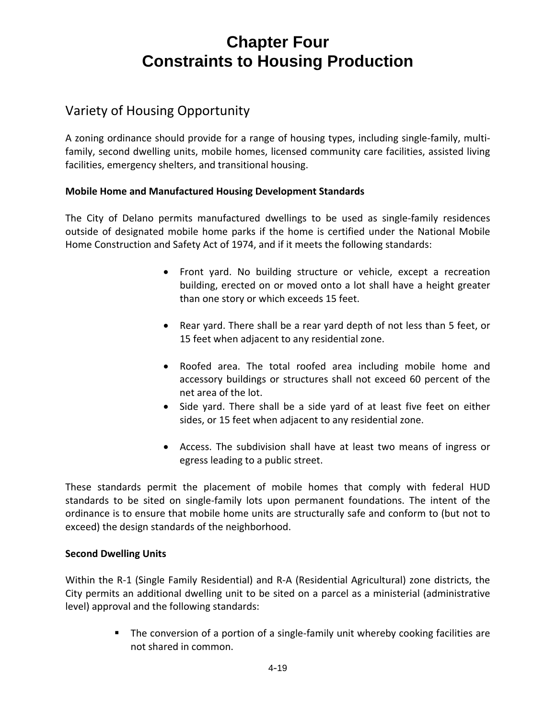### Variety of Housing Opportunity

A zoning ordinance should provide for a range of housing types, including single‐family, multi‐ family, second dwelling units, mobile homes, licensed community care facilities, assisted living facilities, emergency shelters, and transitional housing.

### **Mobile Home and Manufactured Housing Development Standards**

The City of Delano permits manufactured dwellings to be used as single‐family residences outside of designated mobile home parks if the home is certified under the National Mobile Home Construction and Safety Act of 1974, and if it meets the following standards:

- Front yard. No building structure or vehicle, except a recreation building, erected on or moved onto a lot shall have a height greater than one story or which exceeds 15 feet.
- Rear yard. There shall be a rear yard depth of not less than 5 feet, or 15 feet when adjacent to any residential zone.
- Roofed area. The total roofed area including mobile home and accessory buildings or structures shall not exceed 60 percent of the net area of the lot.
- Side yard. There shall be a side yard of at least five feet on either sides, or 15 feet when adjacent to any residential zone.
- Access. The subdivision shall have at least two means of ingress or egress leading to a public street.

These standards permit the placement of mobile homes that comply with federal HUD standards to be sited on single‐family lots upon permanent foundations. The intent of the ordinance is to ensure that mobile home units are structurally safe and conform to (but not to exceed) the design standards of the neighborhood.

#### **Second Dwelling Units**

Within the R‐1 (Single Family Residential) and R‐A (Residential Agricultural) zone districts, the City permits an additional dwelling unit to be sited on a parcel as a ministerial (administrative level) approval and the following standards:

> ■ The conversion of a portion of a single-family unit whereby cooking facilities are not shared in common.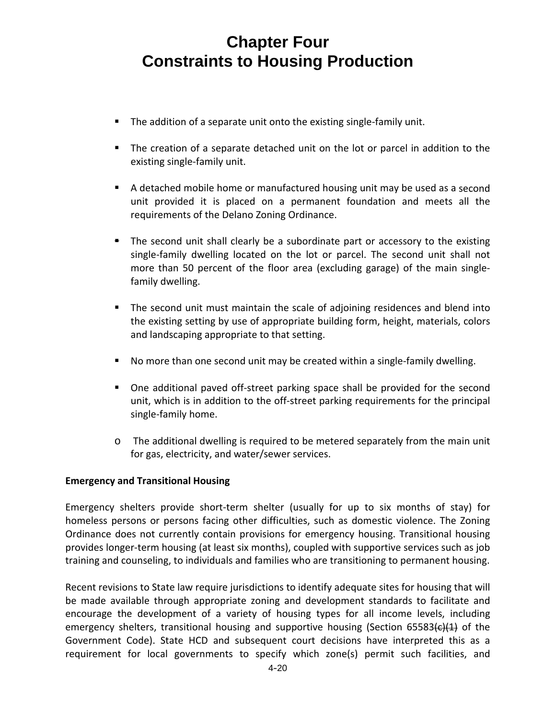- The addition of a separate unit onto the existing single-family unit.
- The creation of a separate detached unit on the lot or parcel in addition to the existing single‐family unit.
- A detached mobile home or manufactured housing unit may be used as a second unit provided it is placed on a permanent foundation and meets all the requirements of the Delano Zoning Ordinance.
- **The second unit shall clearly be a subordinate part or accessory to the existing** single-family dwelling located on the lot or parcel. The second unit shall not more than 50 percent of the floor area (excluding garage) of the main single‐ family dwelling.
- The second unit must maintain the scale of adjoining residences and blend into the existing setting by use of appropriate building form, height, materials, colors and landscaping appropriate to that setting.
- No more than one second unit may be created within a single-family dwelling.
- One additional paved off-street parking space shall be provided for the second unit, which is in addition to the off‐street parking requirements for the principal single‐family home.
- o The additional dwelling is required to be metered separately from the main unit for gas, electricity, and water/sewer services.

### **Emergency and Transitional Housing**

Emergency shelters provide short-term shelter (usually for up to six months of stay) for homeless persons or persons facing other difficulties, such as domestic violence. The Zoning Ordinance does not currently contain provisions for emergency housing. Transitional housing provides longer‐term housing (at least six months), coupled with supportive services such as job training and counseling, to individuals and families who are transitioning to permanent housing.

Recent revisions to State law require jurisdictions to identify adequate sites for housing that will be made available through appropriate zoning and development standards to facilitate and encourage the development of a variety of housing types for all income levels, including emergency shelters, transitional housing and supportive housing (Section 65583 $\left(\frac{e}{1}\right)$  of the Government Code). State HCD and subsequent court decisions have interpreted this as a requirement for local governments to specify which zone(s) permit such facilities, and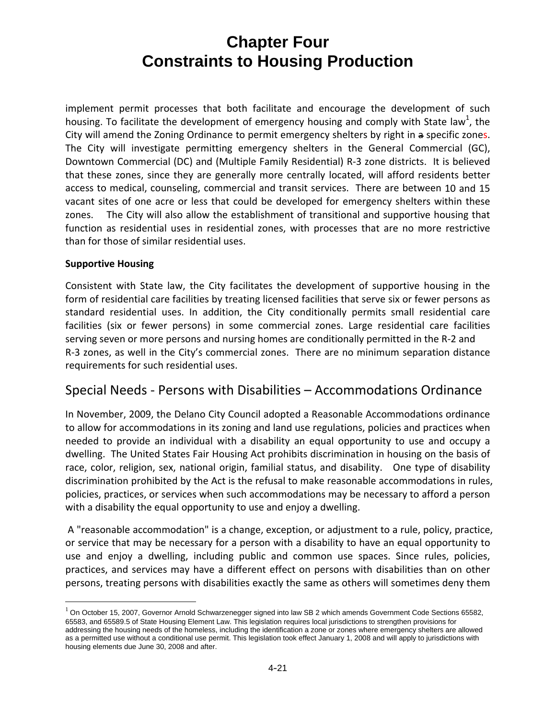implement permit processes that both facilitate and encourage the development of such housing. To facilitate the development of emergency housing and comply with State law<sup>1</sup>, the City will amend the Zoning Ordinance to permit emergency shelters by right in a specific zones. The City will investigate permitting emergency shelters in the General Commercial (GC), Downtown Commercial (DC) and (Multiple Family Residential) R‐3 zone districts. It is believed that these zones, since they are generally more centrally located, will afford residents better access to medical, counseling, commercial and transit services. There are between 10 and 15 vacant sites of one acre or less that could be developed for emergency shelters within these zones. The City will also allow the establishment of transitional and supportive housing that function as residential uses in residential zones, with processes that are no more restrictive than for those of similar residential uses.

#### **Supportive Housing**

1

Consistent with State law, the City facilitates the development of supportive housing in the form of residential care facilities by treating licensed facilities that serve six or fewer persons as standard residential uses. In addition, the City conditionally permits small residential care facilities (six or fewer persons) in some commercial zones. Large residential care facilities serving seven or more persons and nursing homes are conditionally permitted in the R‐2 and R‐3 zones, as well in the City's commercial zones. There are no minimum separation distance requirements for such residential uses.

### Special Needs ‐ Persons with Disabilities – Accommodations Ordinance

In November, 2009, the Delano City Council adopted a Reasonable Accommodations ordinance to allow for accommodations in its zoning and land use regulations, policies and practices when needed to provide an individual with a disability an equal opportunity to use and occupy a dwelling. The United States Fair Housing Act prohibits discrimination in housing on the basis of race, color, religion, sex, national origin, familial status, and disability. One type of disability discrimination prohibited by the Act is the refusal to make reasonable accommodations in rules, policies, practices, or services when such accommodations may be necessary to afford a person with a disability the equal opportunity to use and enjoy a dwelling.

A "reasonable accommodation" is a change, exception, or adjustment to a rule, policy, practice, or service that may be necessary for a person with a disability to have an equal opportunity to use and enjoy a dwelling, including public and common use spaces. Since rules, policies, practices, and services may have a different effect on persons with disabilities than on other persons, treating persons with disabilities exactly the same as others will sometimes deny them

<sup>&</sup>lt;sup>1</sup> On October 15, 2007, Governor Arnold Schwarzenegger signed into law SB 2 which amends Government Code Sections 65582, 65583, and 65589.5 of State Housing Element Law. This legislation requires local jurisdictions to strengthen provisions for addressing the housing needs of the homeless, including the identification a zone or zones where emergency shelters are allowed as a permitted use without a conditional use permit. This legislation took effect January 1, 2008 and will apply to jurisdictions with housing elements due June 30, 2008 and after.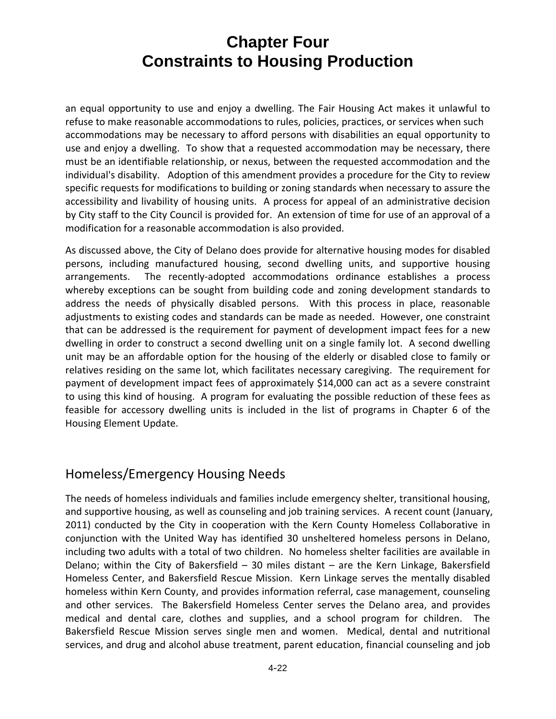an equal opportunity to use and enjoy a dwelling. The Fair Housing Act makes it unlawful to refuse to make reasonable accommodations to rules, policies, practices, or services when such accommodations may be necessary to afford persons with disabilities an equal opportunity to use and enjoy a dwelling. To show that a requested accommodation may be necessary, there must be an identifiable relationship, or nexus, between the requested accommodation and the individual's disability. Adoption of this amendment provides a procedure for the City to review specific requests for modifications to building or zoning standards when necessary to assure the accessibility and livability of housing units. A process for appeal of an administrative decision by City staff to the City Council is provided for. An extension of time for use of an approval of a modification for a reasonable accommodation is also provided.

As discussed above, the City of Delano does provide for alternative housing modes for disabled persons, including manufactured housing, second dwelling units, and supportive housing arrangements. The recently‐adopted accommodations ordinance establishes a process whereby exceptions can be sought from building code and zoning development standards to address the needs of physically disabled persons. With this process in place, reasonable adjustments to existing codes and standards can be made as needed. However, one constraint that can be addressed is the requirement for payment of development impact fees for a new dwelling in order to construct a second dwelling unit on a single family lot. A second dwelling unit may be an affordable option for the housing of the elderly or disabled close to family or relatives residing on the same lot, which facilitates necessary caregiving. The requirement for payment of development impact fees of approximately \$14,000 can act as a severe constraint to using this kind of housing. A program for evaluating the possible reduction of these fees as feasible for accessory dwelling units is included in the list of programs in Chapter 6 of the Housing Element Update.

### Homeless/Emergency Housing Needs

The needs of homeless individuals and families include emergency shelter, transitional housing, and supportive housing, as well as counseling and job training services. A recent count (January, 2011) conducted by the City in cooperation with the Kern County Homeless Collaborative in conjunction with the United Way has identified 30 unsheltered homeless persons in Delano, including two adults with a total of two children. No homeless shelter facilities are available in Delano; within the City of Bakersfield – 30 miles distant – are the Kern Linkage, Bakersfield Homeless Center, and Bakersfield Rescue Mission. Kern Linkage serves the mentally disabled homeless within Kern County, and provides information referral, case management, counseling and other services. The Bakersfield Homeless Center serves the Delano area, and provides medical and dental care, clothes and supplies, and a school program for children. The Bakersfield Rescue Mission serves single men and women. Medical, dental and nutritional services, and drug and alcohol abuse treatment, parent education, financial counseling and job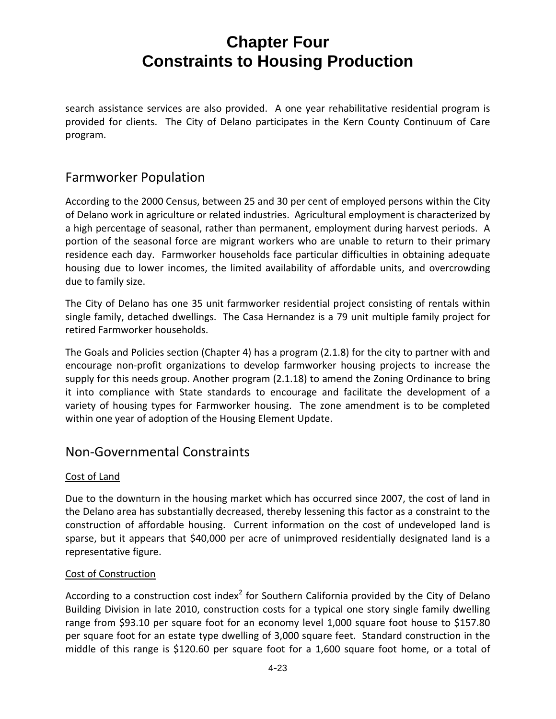search assistance services are also provided. A one year rehabilitative residential program is provided for clients. The City of Delano participates in the Kern County Continuum of Care program.

### Farmworker Population

According to the 2000 Census, between 25 and 30 per cent of employed persons within the City of Delano work in agriculture or related industries. Agricultural employment is characterized by a high percentage of seasonal, rather than permanent, employment during harvest periods. A portion of the seasonal force are migrant workers who are unable to return to their primary residence each day. Farmworker households face particular difficulties in obtaining adequate housing due to lower incomes, the limited availability of affordable units, and overcrowding due to family size.

The City of Delano has one 35 unit farmworker residential project consisting of rentals within single family, detached dwellings. The Casa Hernandez is a 79 unit multiple family project for retired Farmworker households.

The Goals and Policies section (Chapter 4) has a program (2.1.8) for the city to partner with and encourage non‐profit organizations to develop farmworker housing projects to increase the supply for this needs group. Another program (2.1.18) to amend the Zoning Ordinance to bring it into compliance with State standards to encourage and facilitate the development of a variety of housing types for Farmworker housing. The zone amendment is to be completed within one year of adoption of the Housing Element Update.

### Non‐Governmental Constraints

### Cost of Land

Due to the downturn in the housing market which has occurred since 2007, the cost of land in the Delano area has substantially decreased, thereby lessening this factor as a constraint to the construction of affordable housing. Current information on the cost of undeveloped land is sparse, but it appears that \$40,000 per acre of unimproved residentially designated land is a representative figure.

### Cost of Construction

According to a construction cost index<sup>2</sup> for Southern California provided by the City of Delano Building Division in late 2010, construction costs for a typical one story single family dwelling range from \$93.10 per square foot for an economy level 1,000 square foot house to \$157.80 per square foot for an estate type dwelling of 3,000 square feet. Standard construction in the middle of this range is \$120.60 per square foot for a 1,600 square foot home, or a total of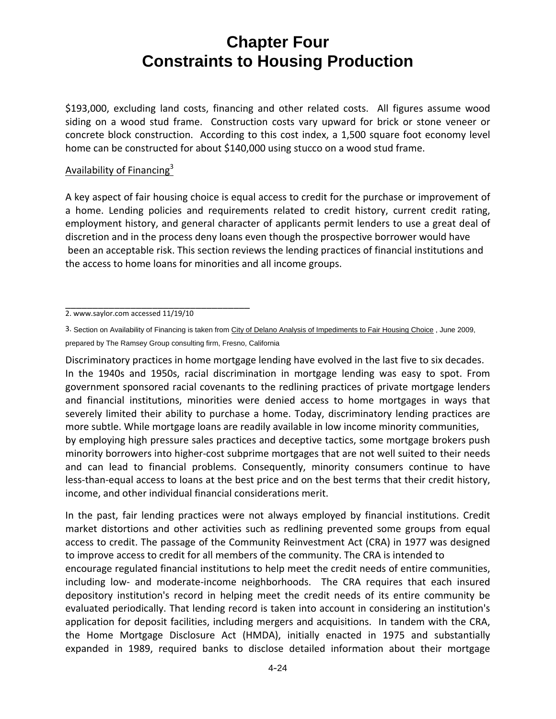\$193,000, excluding land costs, financing and other related costs. All figures assume wood siding on a wood stud frame. Construction costs vary upward for brick or stone veneer or concrete block construction. According to this cost index, a 1,500 square foot economy level home can be constructed for about \$140,000 using stucco on a wood stud frame.

#### Availability of Financing $3$

A key aspect of fair housing choice is equal access to credit for the purchase or improvement of a home. Lending policies and requirements related to credit history, current credit rating, employment history, and general character of applicants permit lenders to use a great deal of discretion and in the process deny loans even though the prospective borrower would have been an acceptable risk. This section reviews the lending practices of financial institutions and the access to home loans for minorities and all income groups.

Discriminatory practices in home mortgage lending have evolved in the last five to six decades. In the 1940s and 1950s, racial discrimination in mortgage lending was easy to spot. From government sponsored racial covenants to the redlining practices of private mortgage lenders and financial institutions, minorities were denied access to home mortgages in ways that severely limited their ability to purchase a home. Today, discriminatory lending practices are more subtle. While mortgage loans are readily available in low income minority communities, by employing high pressure sales practices and deceptive tactics, some mortgage brokers push minority borrowers into higher‐cost subprime mortgages that are not well suited to their needs and can lead to financial problems. Consequently, minority consumers continue to have less-than-equal access to loans at the best price and on the best terms that their credit history, income, and other individual financial considerations merit.

In the past, fair lending practices were not always employed by financial institutions. Credit market distortions and other activities such as redlining prevented some groups from equal access to credit. The passage of the Community Reinvestment Act (CRA) in 1977 was designed to improve access to credit for all members of the community. The CRA is intended to encourage regulated financial institutions to help meet the credit needs of entire communities, including low- and moderate-income neighborhoods. The CRA requires that each insured depository institution's record in helping meet the credit needs of its entire community be evaluated periodically. That lending record is taken into account in considering an institution's application for deposit facilities, including mergers and acquisitions. In tandem with the CRA, the Home Mortgage Disclosure Act (HMDA), initially enacted in 1975 and substantially expanded in 1989, required banks to disclose detailed information about their mortgage

\_\_\_\_\_\_\_\_\_\_\_\_\_\_\_\_\_\_\_\_\_\_\_\_\_\_\_\_\_\_\_\_\_\_ 2. www.saylor.com accessed 11/19/10

<sup>3.</sup> Section on Availability of Financing is taken from City of Delano Analysis of Impediments to Fair Housing Choice, June 2009, prepared by The Ramsey Group consulting firm, Fresno, California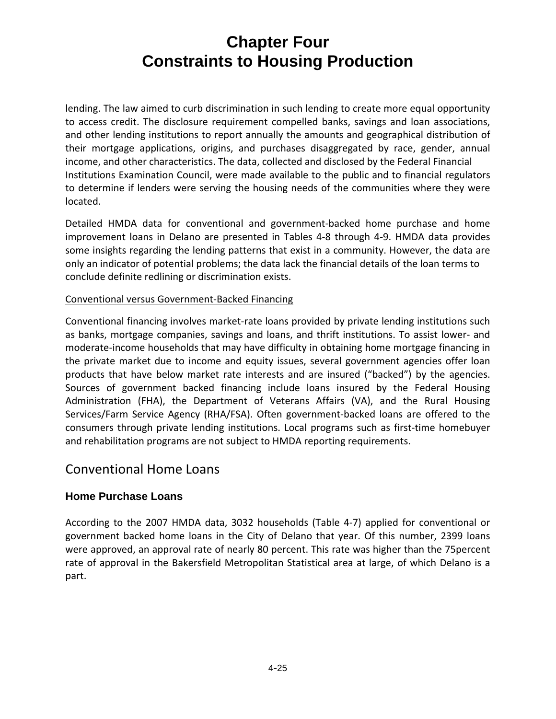lending. The law aimed to curb discrimination in such lending to create more equal opportunity to access credit. The disclosure requirement compelled banks, savings and loan associations, and other lending institutions to report annually the amounts and geographical distribution of their mortgage applications, origins, and purchases disaggregated by race, gender, annual income, and other characteristics. The data, collected and disclosed by the Federal Financial Institutions Examination Council, were made available to the public and to financial regulators to determine if lenders were serving the housing needs of the communities where they were located.

Detailed HMDA data for conventional and government‐backed home purchase and home improvement loans in Delano are presented in Tables 4‐8 through 4‐9. HMDA data provides some insights regarding the lending patterns that exist in a community. However, the data are only an indicator of potential problems; the data lack the financial details of the loan terms to conclude definite redlining or discrimination exists.

### Conventional versus Government‐Backed Financing

Conventional financing involves market‐rate loans provided by private lending institutions such as banks, mortgage companies, savings and loans, and thrift institutions. To assist lower‐ and moderate‐income households that may have difficulty in obtaining home mortgage financing in the private market due to income and equity issues, several government agencies offer loan products that have below market rate interests and are insured ("backed") by the agencies. Sources of government backed financing include loans insured by the Federal Housing Administration (FHA), the Department of Veterans Affairs (VA), and the Rural Housing Services/Farm Service Agency (RHA/FSA). Often government‐backed loans are offered to the consumers through private lending institutions. Local programs such as first‐time homebuyer and rehabilitation programs are not subject to HMDA reporting requirements.

### Conventional Home Loans

### **Home Purchase Loans**

According to the 2007 HMDA data, 3032 households (Table 4‐7) applied for conventional or government backed home loans in the City of Delano that year. Of this number, 2399 loans were approved, an approval rate of nearly 80 percent. This rate was higher than the 75percent rate of approval in the Bakersfield Metropolitan Statistical area at large, of which Delano is a part.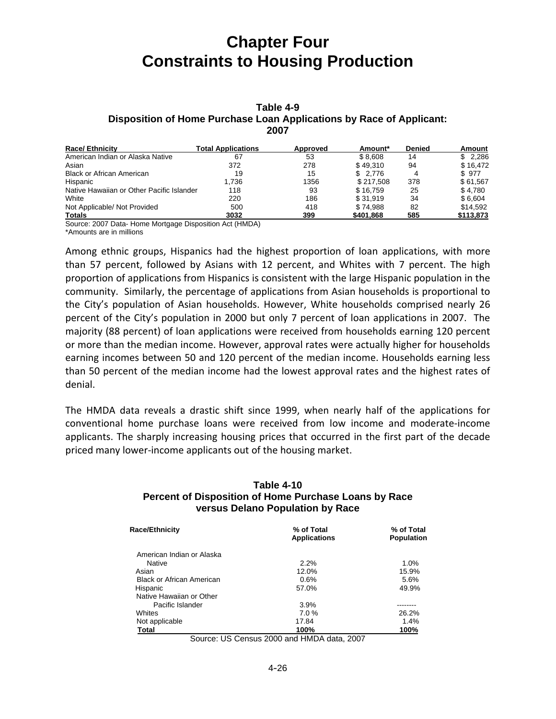#### **Table 4-9 Disposition of Home Purchase Loan Applications by Race of Applicant: 2007**

| <b>Race/Ethnicity</b>                     | Total Applications | <b>Approved</b> | Amount*   | <b>Denied</b> | Amount    |
|-------------------------------------------|--------------------|-----------------|-----------|---------------|-----------|
| American Indian or Alaska Native          | 67                 | 53              | \$8.608   | 14            | \$2,286   |
| Asian                                     | 372                | 278             | \$49.310  | 94            | \$16.472  |
| <b>Black or African American</b>          | 19                 | 15              | \$ 2.776  |               | \$977     |
| Hispanic                                  | 1.736              | 1356            | \$217.508 | 378           | \$61,567  |
| Native Hawaiian or Other Pacific Islander | 118                | 93              | \$16.759  | 25            | \$4,780   |
| White                                     | 220                | 186             | \$31.919  | 34            | \$6.604   |
| Not Applicable/ Not Provided              | 500                | 418             | \$74.988  | 82            | \$14.592  |
| Totals                                    | 3032               | 399             | \$401.868 | 585           | \$113,873 |

Source: 2007 Data- Home Mortgage Disposition Act (HMDA)

\*Amounts are in millions

Among ethnic groups, Hispanics had the highest proportion of loan applications, with more than 57 percent, followed by Asians with 12 percent, and Whites with 7 percent. The high proportion of applications from Hispanics is consistent with the large Hispanic population in the community. Similarly, the percentage of applications from Asian households is proportional to the City's population of Asian households. However, White households comprised nearly 26 percent of the City's population in 2000 but only 7 percent of loan applications in 2007. The majority (88 percent) of loan applications were received from households earning 120 percent or more than the median income. However, approval rates were actually higher for households earning incomes between 50 and 120 percent of the median income. Households earning less than 50 percent of the median income had the lowest approval rates and the highest rates of denial.

The HMDA data reveals a drastic shift since 1999, when nearly half of the applications for conventional home purchase loans were received from low income and moderate‐income applicants. The sharply increasing housing prices that occurred in the first part of the decade priced many lower‐income applicants out of the housing market.

#### **Table 4-10 Percent of Disposition of Home Purchase Loans by Race versus Delano Population by Race**

| <b>Race/Ethnicity</b>            | % of Total<br><b>Applications</b> | % of Total<br><b>Population</b> |  |
|----------------------------------|-----------------------------------|---------------------------------|--|
| American Indian or Alaska        |                                   |                                 |  |
| Native                           | 2.2%                              | 1.0%                            |  |
| Asian                            | 12.0%                             | 15.9%                           |  |
| <b>Black or African American</b> | 0.6%                              | 5.6%                            |  |
| Hispanic                         | 57.0%                             | 49.9%                           |  |
| Native Hawaiian or Other         |                                   |                                 |  |
| Pacific Islander                 | 3.9%                              |                                 |  |
| Whites                           | 7.0%                              | 26.2%                           |  |
| Not applicable                   | 17.84                             | 1.4%                            |  |
| Total                            | 100%                              | 100%                            |  |

Source: US Census 2000 and HMDA data, 2007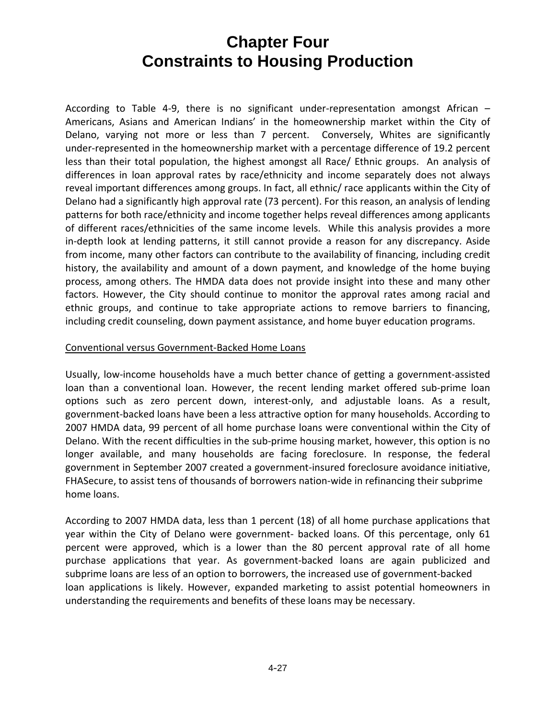According to Table 4‐9, there is no significant under‐representation amongst African – Americans, Asians and American Indians' in the homeownership market within the City of Delano, varying not more or less than 7 percent. Conversely, Whites are significantly under‐represented in the homeownership market with a percentage difference of 19.2 percent less than their total population, the highest amongst all Race/ Ethnic groups. An analysis of differences in loan approval rates by race/ethnicity and income separately does not always reveal important differences among groups. In fact, all ethnic/ race applicants within the City of Delano had a significantly high approval rate (73 percent). For this reason, an analysis of lending patterns for both race/ethnicity and income together helps reveal differences among applicants of different races/ethnicities of the same income levels. While this analysis provides a more in-depth look at lending patterns, it still cannot provide a reason for any discrepancy. Aside from income, many other factors can contribute to the availability of financing, including credit history, the availability and amount of a down payment, and knowledge of the home buying process, among others. The HMDA data does not provide insight into these and many other factors. However, the City should continue to monitor the approval rates among racial and ethnic groups, and continue to take appropriate actions to remove barriers to financing, including credit counseling, down payment assistance, and home buyer education programs.

#### Conventional versus Government‐Backed Home Loans

Usually, low‐income households have a much better chance of getting a government‐assisted loan than a conventional loan. However, the recent lending market offered sub-prime loan options such as zero percent down, interest-only, and adjustable loans. As a result, government‐backed loans have been a less attractive option for many households. According to 2007 HMDA data, 99 percent of all home purchase loans were conventional within the City of Delano. With the recent difficulties in the sub-prime housing market, however, this option is no longer available, and many households are facing foreclosure. In response, the federal government in September 2007 created a government‐insured foreclosure avoidance initiative, FHASecure, to assist tens of thousands of borrowers nation-wide in refinancing their subprime home loans.

According to 2007 HMDA data, less than 1 percent (18) of all home purchase applications that year within the City of Delano were government- backed loans. Of this percentage, only 61 percent were approved, which is a lower than the 80 percent approval rate of all home purchase applications that year. As government‐backed loans are again publicized and subprime loans are less of an option to borrowers, the increased use of government‐backed loan applications is likely. However, expanded marketing to assist potential homeowners in understanding the requirements and benefits of these loans may be necessary.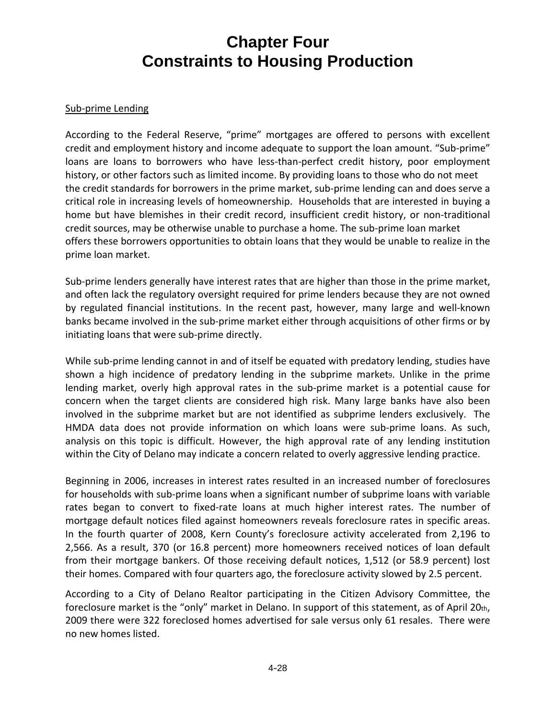#### Sub‐prime Lending

According to the Federal Reserve, "prime" mortgages are offered to persons with excellent credit and employment history and income adequate to support the loan amount. "Sub‐prime" loans are loans to borrowers who have less-than-perfect credit history, poor employment history, or other factors such as limited income. By providing loans to those who do not meet the credit standards for borrowers in the prime market, sub-prime lending can and does serve a critical role in increasing levels of homeownership. Households that are interested in buying a home but have blemishes in their credit record, insufficient credit history, or non-traditional credit sources, may be otherwise unable to purchase a home. The sub‐prime loan market offers these borrowers opportunities to obtain loans that they would be unable to realize in the prime loan market.

Sub-prime lenders generally have interest rates that are higher than those in the prime market, and often lack the regulatory oversight required for prime lenders because they are not owned by regulated financial institutions. In the recent past, however, many large and well‐known banks became involved in the sub‐prime market either through acquisitions of other firms or by initiating loans that were sub‐prime directly.

While sub-prime lending cannot in and of itself be equated with predatory lending, studies have shown a high incidence of predatory lending in the subprime market9. Unlike in the prime lending market, overly high approval rates in the sub‐prime market is a potential cause for concern when the target clients are considered high risk. Many large banks have also been involved in the subprime market but are not identified as subprime lenders exclusively. The HMDA data does not provide information on which loans were sub-prime loans. As such, analysis on this topic is difficult. However, the high approval rate of any lending institution within the City of Delano may indicate a concern related to overly aggressive lending practice.

Beginning in 2006, increases in interest rates resulted in an increased number of foreclosures for households with sub‐prime loans when a significant number of subprime loans with variable rates began to convert to fixed-rate loans at much higher interest rates. The number of mortgage default notices filed against homeowners reveals foreclosure rates in specific areas. In the fourth quarter of 2008, Kern County's foreclosure activity accelerated from 2,196 to 2,566. As a result, 370 (or 16.8 percent) more homeowners received notices of loan default from their mortgage bankers. Of those receiving default notices, 1,512 (or 58.9 percent) lost their homes. Compared with four quarters ago, the foreclosure activity slowed by 2.5 percent.

According to a City of Delano Realtor participating in the Citizen Advisory Committee, the foreclosure market is the "only" market in Delano. In support of this statement, as of April 20th, 2009 there were 322 foreclosed homes advertised for sale versus only 61 resales. There were no new homes listed.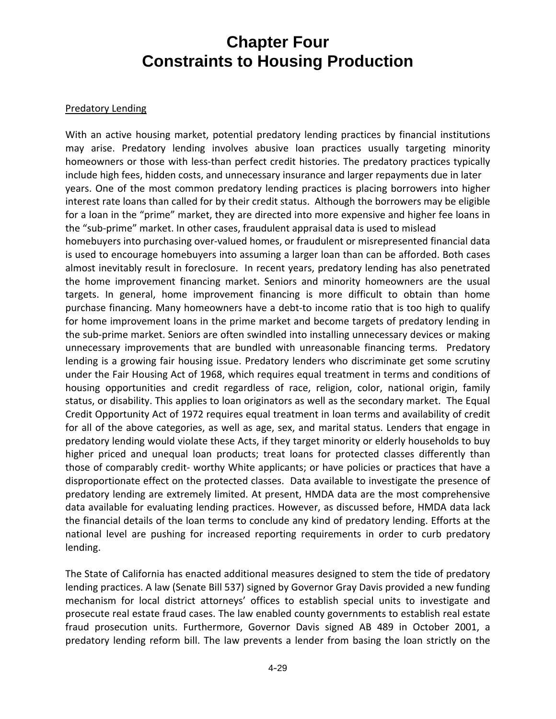#### Predatory Lending

With an active housing market, potential predatory lending practices by financial institutions may arise. Predatory lending involves abusive loan practices usually targeting minority homeowners or those with less-than perfect credit histories. The predatory practices typically include high fees, hidden costs, and unnecessary insurance and larger repayments due in later years. One of the most common predatory lending practices is placing borrowers into higher interest rate loans than called for by their credit status. Although the borrowers may be eligible for a loan in the "prime" market, they are directed into more expensive and higher fee loans in the "sub‐prime" market. In other cases, fraudulent appraisal data is used to mislead homebuyers into purchasing over-valued homes, or fraudulent or misrepresented financial data is used to encourage homebuyers into assuming a larger loan than can be afforded. Both cases almost inevitably result in foreclosure. In recent years, predatory lending has also penetrated the home improvement financing market. Seniors and minority homeowners are the usual targets. In general, home improvement financing is more difficult to obtain than home purchase financing. Many homeowners have a debt‐to income ratio that is too high to qualify for home improvement loans in the prime market and become targets of predatory lending in the sub-prime market. Seniors are often swindled into installing unnecessary devices or making unnecessary improvements that are bundled with unreasonable financing terms. Predatory lending is a growing fair housing issue. Predatory lenders who discriminate get some scrutiny under the Fair Housing Act of 1968, which requires equal treatment in terms and conditions of housing opportunities and credit regardless of race, religion, color, national origin, family status, or disability. This applies to loan originators as well as the secondary market. The Equal Credit Opportunity Act of 1972 requires equal treatment in loan terms and availability of credit for all of the above categories, as well as age, sex, and marital status. Lenders that engage in predatory lending would violate these Acts, if they target minority or elderly households to buy higher priced and unequal loan products; treat loans for protected classes differently than those of comparably credit‐ worthy White applicants; or have policies or practices that have a disproportionate effect on the protected classes. Data available to investigate the presence of predatory lending are extremely limited. At present, HMDA data are the most comprehensive data available for evaluating lending practices. However, as discussed before, HMDA data lack the financial details of the loan terms to conclude any kind of predatory lending. Efforts at the national level are pushing for increased reporting requirements in order to curb predatory lending.

The State of California has enacted additional measures designed to stem the tide of predatory lending practices. A law (Senate Bill 537) signed by Governor Gray Davis provided a new funding mechanism for local district attorneys' offices to establish special units to investigate and prosecute real estate fraud cases. The law enabled county governments to establish real estate fraud prosecution units. Furthermore, Governor Davis signed AB 489 in October 2001, a predatory lending reform bill. The law prevents a lender from basing the loan strictly on the